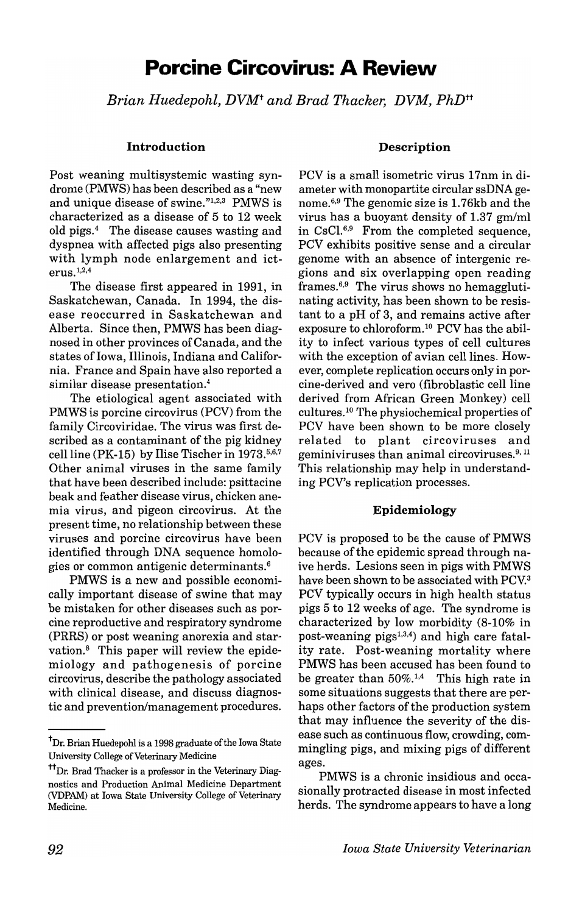# **Porcine Circovirus: A Review**

*Brian Huedepohl, DVMt and Brad Thacker, DVM, PhDtt* 

#### **Introduction**

Post weaning multisystemic wasting syndrome (PMWS) has been described as a "new and unique disease of swine."1,2,3 PMWS is characterized as a disease of 5 to 12 week old pigs.4 The disease causes wasting and dyspnea with affected pigs also presenting with lymph node enlargement and ict $erus.<sup>1,2,4</sup>$ 

The disease first appeared in 1991, in Saskatchewan, Canada. In 1994, the disease reoccurred in Saskatchewan and Alberta. Since then, PMWS has been diagnosed in other provinces of Canada, and the states of Iowa, Illinois, Indiana and California. France and Spain have also reported a similar disease presentation.4

The etiological agent associated with PMWS is porcine circovirus (PCY) from the family Circoviridae. The virus was first described as a contaminant of the pig kidney cell line (PK-15) by Ilise Tischer in  $1973^{5,6,7}$ Other animal viruses in the same family that have been described include: psittacine beak and feather disease virus, chicken anemia virus, and pigeon circovirus. At the present time, no relationship between these viruses and porcine circovirus have been identified through DNA sequence homologies or common antigenic determinants.6

PMWS is a new and possible economically important disease of swine that may be mistaken for other diseases such as porcine reproductive and respiratory syndrome (PRRS) or post weaning anorexia and starvation.<sup>8</sup> This paper will review the epidemiology and pathogenesis of porcine circovirus, describe the pathology associated with clinical disease, and discuss diagnostic and prevention/management procedures.

## **Description**

PCY is a small isometric virus 17nm in diameter with monopartite circular ssDNA genome.<sup>6,9</sup> The genomic size is 1.76kb and the virus has a buoyant density of  $1.37$  gm/ml in CsC1.6,9 From the completed sequence, PCY exhibits positive sense and a circular genome with an absence of intergenic regions and six overlapping open reading frames. $6.9$  The virus shows no hemagglutinating activity, has been shown to be resistant to a pH of 3, and remains active after exposure to chloroform.<sup>10</sup> PCV has the ability to infect various types of cell cultures with the exception of avian cell lines. However, complete replication occurs only in porcine-derived and vero (fibroblastic cell line derived from African Green Monkey) cell cultures.<sup>10</sup> The physiochemical properties of PCY have been shown to be more closely related to plant circoviruses and geminiviruses than animal circoviruses.<sup>9, 11</sup> This relationship may help in understanding PCY's replication processes.

#### **Epidemiology**

PCY is proposed to be the cause of PMWS because of the epidemic spread through naive herds. Lesions seen in pigs with PMWS have been shown to be associated with PCY.3 PCY typically occurs in high health status pigs 5 to 12 weeks of age. The syndrome is characterized by low morbidity (8-10% in post-weaning pigs $^{1,3,4}$  and high care fatality rate. Post-weaning mortality where PMWS has been accused has been found to be greater than  $50\%$ .<sup>1,4</sup> This high rate in some situations suggests that there are perhaps other factors of the production system that may influence the severity of the disease such as continuous flow, crowding, commingling pigs, and mixing pigs of different ages.

PMWS is a chronic insidious and occasionally protracted disease in most infected herds. The syndrome appears to have a long

<sup>&</sup>lt;sup>†</sup>Dr. Brian Huedepohl is a 1998 graduate of the Iowa State University College of Veterinary Medicine

<sup>&</sup>lt;sup>††</sup>Dr. Brad Thacker is a professor in the Veterinary Diagnostics and Production Animal Medicine Department (VDPAM) at Iowa State University College of Veterinary Medicine.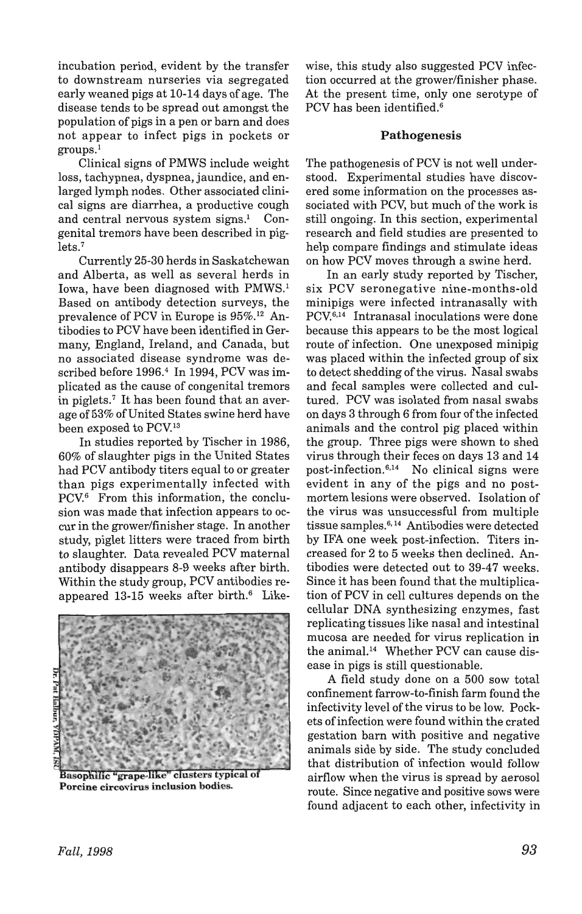incubation period, evident by the transfer to downstream nurseries via segregated early weaned pigs at 10-14 days of age. The disease tends to be spread out amongst the population of pigs in a pen or barn and does not appear to infect pigs in pockets or  $groups.<sup>1</sup>$ 

Clinical signs of PMWS include weight loss, tachypnea, dyspnea, jaundice, and enlarged lymph nodes. Other associated clinical signs are diarrhea, a productive cough and central nervous system signs.<sup>1</sup> Congenital tremors have been described in piglets.<sup>7</sup>

Currently 25-30 herds in Saskatchewan and Alberta, as well as several herds in Iowa, have been diagnosed with PMWS.<sup>1</sup> Based on antibody detection surveys, the prevalence of PCV in Europe is 95%.<sup>12</sup> Antibodies to PCV have been identified in Germany, England, Ireland, and Canada, but no associated disease syndrome was described before 1996.<sup>4</sup> In 1994, PCV was implicated as the cause of congenital tremors in piglets.7 It has been found that an average of 53% of United States swine herd have been exposed to PCV.<sup>13</sup>

In studies reported by Tischer in 1986, 60% of slaughter pigs in the United States had PCV antibody titers equal to or greater than pigs experimentally infected with PCV. $6$  From this information, the conclusion was made that infection appears to occur in the grower/finisher stage. In another study, piglet litters were traced from birth to slaughter. Data revealed PCV maternal antibody disappears 8-9 weeks after birth. Within the study group, PCV antibodies reappeared  $13-15$  weeks after birth.<sup>6</sup> Like-



Basophilic "grape-like" clusters typical of Porcine circovirus inclusion bodies.

wise, this study also suggested PCV infection occurred at the grower/finisher phase. At the present time, only one serotype of PCV has been identified.<sup>6</sup>

# Pathogenesis

The pathogenesis of PCV is not well understood. Experimental studies have discovered some information on the processes associated with PCV, but much of the work is still ongoing. In this section, experimental research and field studies are presented to help compare findings and stimulate ideas on how PCV moves through a swine herd.

In an early study reported by Tischer, six PCV seronegative nine-months-old minipigs were infected intranasally with PCV.<sup>6,14</sup> Intranasal inoculations were done because this appears to be the most logical route of infection. One unexposed minipig was placed within the infected group of six to detect shedding of the virus. Nasal swabs and fecal samples were collected and cultured. PCV was isolated from nasal swabs on days 3 through 6 from four of the infected animals and the control pig placed within the group. Three pigs were shown to shed virus through their feces on days 13 and 14 post-infection. $6,14$  No clinical signs were evident in any of the pigs and no postmortem lesions were observed. Isolation of the virus was unsuccessful from multiple tissue samples.6•14 Antibodies were detected by IFA one week post-infection. Titers increased for 2 to 5 weeks then declined. Antibodies were detected out to 39-47 weeks. Since it has been found that the multiplication of PCV in cell cultures depends on the cellular DNA synthesizing enzymes, fast replicating tissues like nasal and intestinal mucosa are needed for virus replication in the animal.<sup>14</sup> Whether PCV can cause disease in pigs is still questionable.

A field study done on a 500 sow total confinement farrow-to-finish farm found the infectivity level of the virus to be low. Pockets of infection were found within the crated gestation barn with positive and negative animals side by side. The study concluded that distribution of infection would follow airflow when the virus is spread by aerosol route. Since negative and positive sows were found adjacent to each other, infectivity in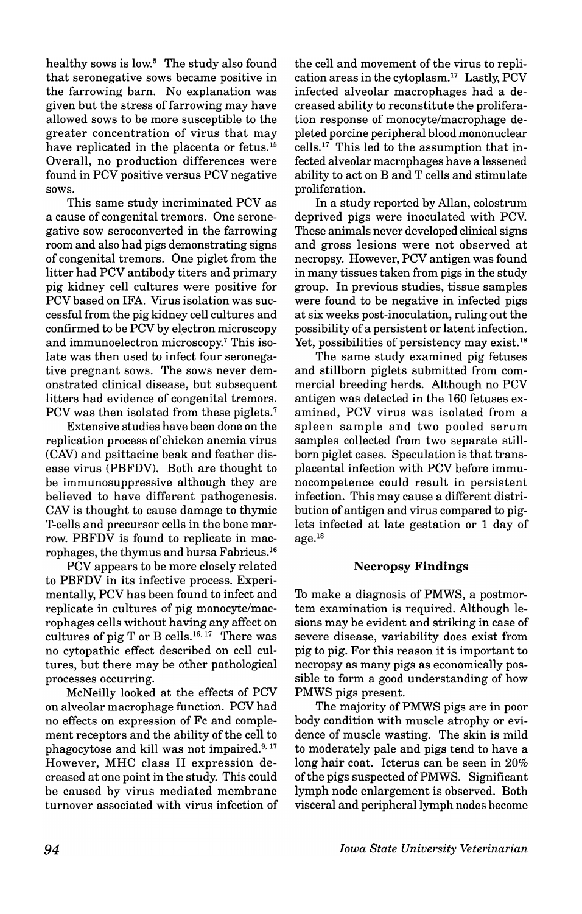healthy sows is low.<sup>5</sup> The study also found that seronegative sows became positive in the farrowing barn. No explanation was given but the stress of farrowing may have allowed sows to be more susceptible to the greater concentration of virus that may have replicated in the placenta or fetus.<sup>15</sup> Overall, no production differences were found in PCV positive versus PCV negative sows.

This same study incriminated PCV as a cause of congenital tremors. One seronegative sow seroconverled in the farrowing room and also had pigs demonstrating signs of congenital tremors. One piglet from the litter had PCV antibody titers and primary pig kidney cell cultures were positive for PCV based on IFA. Virus isolation was successful from the pig kidney cell cultures and confirmed to be PCV by electron microscopy and immunoelectron microscopy.<sup>7</sup> This isolate was then used to infect four seronegative pregnant sows. The sows never demonstrated clinical disease, but subsequent litters had evidence of congenital tremors. PCV was then isolated from these piglets.<sup>7</sup>

Extensive studies have been done on the replication process of chicken anemia virus (CAV) and psittacine beak and feather disease virus (PBFDV). Both are thought to be immunosuppressive although they are believed to have different pathogenesis. CAV is thought to cause damage to thymic T-cells and precursor cells in the bone marrow. PBFDV is found to replicate in macrophages, the thymus and bursa Fabricus. <sup>16</sup>

PCV appears to be more closely related to PBFDV in its infective process. Experimentally, PCV has been found to infect and replicate in cultures of pig monocyte/macrophages cells without having any affect on cultures of pig T or B cells.<sup>16, 17</sup> There was no cytopathic effect described on cell cultures, but there may be other pathological processes occurring.

McNeilly looked at the effects of PCV on alveolar macrophage function. PCV had no effects on expression of Fc and complement receptors and the ability of the cell to phagocytose and kill was not impaired.<sup>9, 17</sup> However, MHC class II expression decreased at one point in the study. This could be caused by virus mediated membrane turnover associated with virus infection of the cell and movement of the virus to replication areas in the cytoplasm.17 Lastly, PCV infected alveolar macrophages had a decreased ability to reconstitute the proliferation response of monocyte/macrophage depleted porcine peripheral blood mononuclear cells. 17 This led to the assumption that infected alveolar macrophages have a lessened ability to act on Band T cells and stimulate proliferation.

In a study reported by Allan, colostrum deprived pigs were inoculated with PCV. These animals never developed clinical signs and gross lesions were not observed at necropsy. However, PCV antigen was found in many tissues taken from pigs in the study group. In previous studies, tissue samples were found to be negative in infected pigs at six weeks post-inoculation, ruling out the possibility of a persistent or latent infection. Yet, possibilities of persistency may exist.<sup>18</sup>

The same study examined pig fetuses and stillborn piglets submitted from commercial breeding herds. Although no PCV antigen was detected in the 160 fetuses examined, PCV virus was isolated from a spleen sample and two pooled serum samples collected from two separate stillborn piglet cases. Speculation is that transplacental infection with PCV before immunocompetence could result in persistent infection. This may cause a different distribution of antigen and virus compared to piglets infected at late gestation or 1 day of  $age.<sup>18</sup>$ 

#### Necropsy **Findings**

To make a diagnosis of PMWS, a postmortem examination is required. Although lesions may be evident and striking in case of severe disease, variability does exist from pig to pig. For this reason it is important to necropsy as many pigs as economically possible to form a good understanding of how PMWS pigs present.

The majority of PMWS pigs are in poor body condition with muscle atrophy or evidence of muscle wasting. The skin is mild to moderately pale and pigs tend to have a long hair coat. Icterus can be seen in 20% of the pigs suspected ofPMWS. Significant lymph node enlargement is observed. Both visceral and peripheral lymph nodes become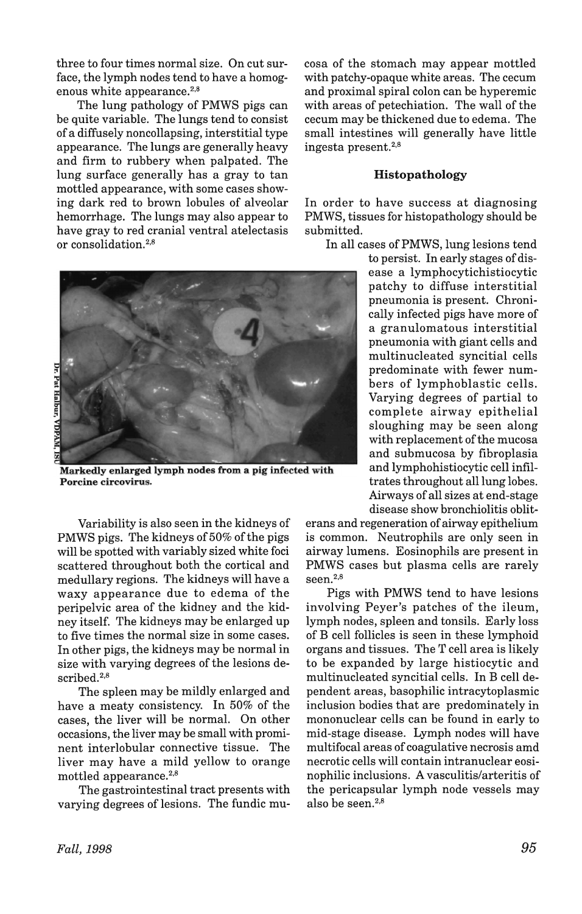three to four times normal size. On cut surface, the lymph nodes tend to have a homogenous white appearance.<sup>2,8</sup>

The lung pathology of PMWS pigs can be quite variable. The lungs tend to consist of a diffusely noncollapsing, interstitial type appearance. The lungs are generally heavy and firm to rubbery when palpated. The lung surface generally has a gray to tan mottled appearance, with some cases showing dark red to brown lobules of alveolar hemorrhage. The lungs may also appear to have gray to red cranial ventral atelectasis or consolidation.2,8



Markedly enlarged lymph nodes from a pig infected with Porcine circovirus.

Variability is also seen in the kidneys of PMWS pigs. The kidneys of 50% of the pigs will be spotted with variably sized white foci scattered throughout both the cortical and medullary regions. The kidneys will have a waxy appearance due to edema of the peripelvic area of the kidney and the kidney itself. The kidneys may be enlarged up to five times the normal size in some cases. In other pigs, the kidneys may be normal in size with varying degrees of the lesions described.<sup>2,8</sup>

The spleen may be mildly enlarged and have a meaty consistency. In 50% of the cases, the liver will be normal. On other occasions, the liver may be small with prominent interlobular connective tissue. The liver may have a mild yellow to orange mottled appearance.<sup>2,8</sup>

The gastrointestinal tract presents with varying degrees of lesions. The fundic mucosa of the stomach may appear mottled with patchy-opaque white areas. The cecum and proximal spiral colon can be hyperemic with areas of petechiation. The wall of the cecum may be thickened due to edema. The small intestines will generally have little ingesta present. $2,8$ 

## Histopathology

In order to have success at diagnosing PMWS, tissues for histopathology should be submitted.

In all cases ofPMWS, lung lesions tend

to persist. In early stages of disease a lymphocytichistiocytic patchy to diffuse interstitial pneumonia is present. Chronically infected pigs have more of a granulomatous interstitial pneumonia with giant cells and multinucleated syncitial cells predominate with fewer numbers of lymphoblastic cells. Varying degrees of partial to complete airway epithelial sloughing may be seen along with replacement of the mucosa and submucosa by fibroplasia and lymphohistiocytic cell infiltrates throughout all lung lobes. Airways of all sizes at end-stage disease show bronchiolitis oblit-

erans and regeneration of airway epithelium is common. Neutrophils are only seen in airway lumens. Eosinophils are present in PMWS cases but plasma cells are rarely seen.<sup>2,8</sup>

Pigs with PMWS tend to have lesions involving Peyer's patches of the ileum, lymph nodes, spleen and tonsils. Early loss of B cell follicles is seen in these lymphoid organs and tissues. The T cell area is likely to be expanded by large histiocytic and multinucleated syncitial cells. In B cell dependent areas, basophilic intracytoplasmic inclusion bodies that are predominately in mononuclear cells can be found in early to mid-stage disease. Lymph nodes will have multifocal areas of coagulative necrosis amd necrotic cells will contain intranuclear eosinophilic inclusions. A vasculitis/arteritis of the pericapsular lymph node vessels may also be seen. $2,8$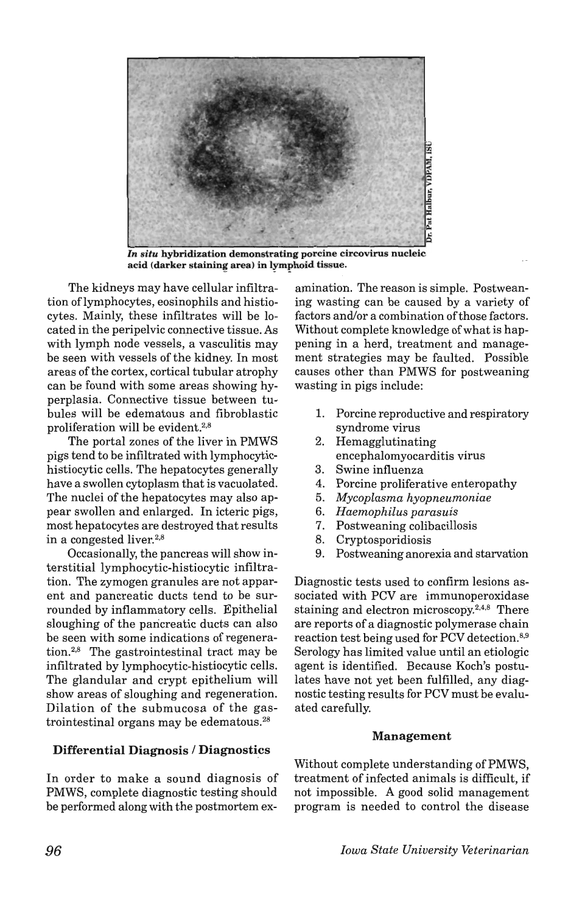

*In situ* hybridization demonstrating porcine circovirus nucleic acid (darker staining area) in lymphoid tissue.

The kidneys may have cellular infiltration oflymphocytes, eosinophils and histiocytes. Mainly, these infiltrates will be located in the peripelvic connective tissue. As with lymph node vessels, a vasculitis may be seen with vessels of the kidney. In most areas of the cortex, cortical tubular atrophy can be found with some areas showing hyperplasia. Connective tissue between tubules will be edematous and fibroblastic proliferation will be evident.<sup>2,8</sup>

The portal zones of the liver in PMWS pigs tend to be infiltrated with lymphocytichistiocytic cells. The hepatocytes generally have a swollen cytoplasm that is vacuolated. The nuclei of the hepatocytes may also appear swollen and enlarged. In icteric pigs, most hepatocytes are destroyed that results in a congested liver.<sup>2,8</sup>

Occasionally, the pancreas will show interstitial lymphocytic-histiocytic infiltration. The zymogen granules are not apparent and pancreatic ducts tend to be surrounded by inflammatory cells. Epithelial sloughing of the pancreatic ducts can also be seen with some indications of regeneration. $2,8$  The gastrointestinal tract may be infiltrated by lymphocytic-histiocytic cells. The glandular and crypt epithelium will show areas of sloughing and regeneration. Dilation of the submucosa of the gastrointestinal organs may be edematous.28

# Differential Diagnosis / Diagnostics

In order to make a sound diagnosis of PMWS, complete diagnostic testing should be performed along with the postmortem examination. The reason is simple. Postweaning wasting can be caused by a variety of factors and/or a combination of those factors. Without complete knowledge of what is happening in a herd, treatment and management strategies may be faulted. Possible causes other than PMWS for postweaning wasting in pigs include:

- 1. Porcine reproductive and respiratory syndrome virus
- 2. Hemagglutinating encephalomyocarditis virus
- 3. Swine influenza
- 4. Porcine proliferative enteropathy
- *5. Mycoplasma hyopneumoniae*
- *6. Haemophilus parasuis*
- 7. Postweaning colibacillosis
- 8. Cryptosporidiosis
- 9. Postweaning anorexia and starvation

Diagnostic tests used to confirm lesions associated with PCV are immunoperoxidase staining and electron microscopy.2,4,8 There are reports of a diagnostic polymerase chain reaction test being used for PCV detection.8,9 Serology has limited value until an etiologic agent is identified. Because Koch's postulates have not yet been fulfilled, any diagnostic testing results for PCV must be evaluated carefully.

# Management

Without complete understanding of PMWS, treatment of infected animals is difficult, if not impossible. A good solid management program is needed to control the disease